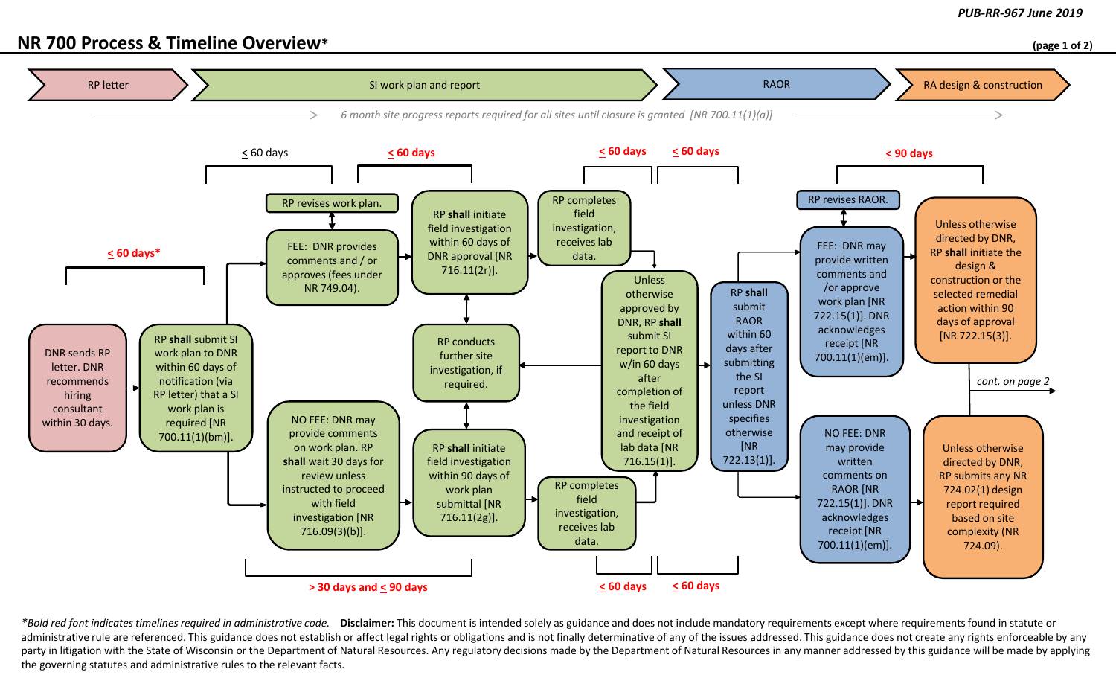## **NR 700 Process & Timeline Overview\* (page 1 of 2)**



\*Bold red font indicates timelines required in administrative code. Disclaimer: This document is intended solely as guidance and does not include mandatory requirements except where requirements found in statute or administrative rule are referenced. This guidance does not establish or affect legal rights or obligations and is not finally determinative of any of the issues addressed. This guidance does not create any rights enforceab party in litigation with the State of Wisconsin or the Department of Natural Resources. Any regulatory decisions made by the Department of Natural Resources in any manner addressed by this guidance will be made by applying the governing statutes and administrative rules to the relevant facts.